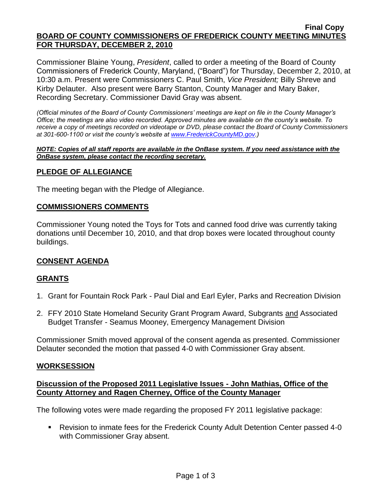### **Final Copy BOARD OF COUNTY COMMISSIONERS OF FREDERICK COUNTY MEETING MINUTES FOR THURSDAY, DECEMBER 2, 2010**

Commissioner Blaine Young, *President*, called to order a meeting of the Board of County Commissioners of Frederick County, Maryland, ("Board") for Thursday, December 2, 2010, at 10:30 a.m. Present were Commissioners C. Paul Smith, *Vice President;* Billy Shreve and Kirby Delauter. Also present were Barry Stanton, County Manager and Mary Baker, Recording Secretary. Commissioner David Gray was absent.

*(Official minutes of the Board of County Commissioners' meetings are kept on file in the County Manager's Office; the meetings are also video recorded. Approved minutes are available on the county's website. To receive a copy of meetings recorded on videotape or DVD, please contact the Board of County Commissioners at 301-600-1100 or visit the county's website at [www.FrederickCountyMD.gov.](http://www.frederickcountymd.gov/))*

#### *NOTE: Copies of all staff reports are available in the OnBase system. If you need assistance with the OnBase system, please contact the recording secretary.*

## **PLEDGE OF ALLEGIANCE**

The meeting began with the Pledge of Allegiance.

## **COMMISSIONERS COMMENTS**

Commissioner Young noted the Toys for Tots and canned food drive was currently taking donations until December 10, 2010, and that drop boxes were located throughout county buildings.

## **CONSENT AGENDA**

## **GRANTS**

- 1. Grant for Fountain Rock Park Paul Dial and Earl Eyler, Parks and Recreation Division
- 2. FFY 2010 State Homeland Security Grant Program Award, Subgrants and Associated Budget Transfer - Seamus Mooney, Emergency Management Division

Commissioner Smith moved approval of the consent agenda as presented. Commissioner Delauter seconded the motion that passed 4-0 with Commissioner Gray absent.

## **WORKSESSION**

## **Discussion of the Proposed 2011 Legislative Issues - John Mathias, Office of the County Attorney and Ragen Cherney, Office of the County Manager**

The following votes were made regarding the proposed FY 2011 legislative package:

■ Revision to inmate fees for the Frederick County Adult Detention Center passed 4-0 with Commissioner Gray absent.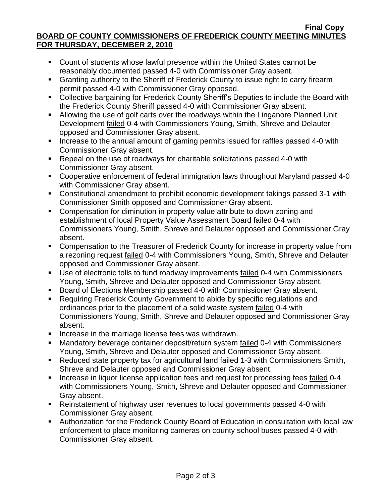### **Final Copy BOARD OF COUNTY COMMISSIONERS OF FREDERICK COUNTY MEETING MINUTES FOR THURSDAY, DECEMBER 2, 2010**

- Count of students whose lawful presence within the United States cannot be reasonably documented passed 4-0 with Commissioner Gray absent.
- Granting authority to the Sheriff of Frederick County to issue right to carry firearm permit passed 4-0 with Commissioner Gray opposed.
- **EXECOLLECTIVE COLLECTIVE Dargaining for Frederick County Sheriff's Deputies to include the Board with** the Frederick County Sheriff passed 4-0 with Commissioner Gray absent.
- Allowing the use of golf carts over the roadways within the Linganore Planned Unit Development failed 0-4 with Commissioners Young, Smith, Shreve and Delauter opposed and Commissioner Gray absent.
- Increase to the annual amount of gaming permits issued for raffles passed 4-0 with Commissioner Gray absent.
- Repeal on the use of roadways for charitable solicitations passed 4-0 with Commissioner Gray absent.
- Cooperative enforcement of federal immigration laws throughout Maryland passed 4-0 with Commissioner Gray absent.
- Constitutional amendment to prohibit economic development takings passed 3-1 with Commissioner Smith opposed and Commissioner Gray absent.
- **Compensation for diminution in property value attribute to down zoning and** establishment of local Property Value Assessment Board failed 0-4 with Commissioners Young, Smith, Shreve and Delauter opposed and Commissioner Gray absent.
- Compensation to the Treasurer of Frederick County for increase in property value from a rezoning request failed 0-4 with Commissioners Young, Smith, Shreve and Delauter opposed and Commissioner Gray absent.
- Use of electronic tolls to fund roadway improvements failed 0-4 with Commissioners Young, Smith, Shreve and Delauter opposed and Commissioner Gray absent.
- Board of Elections Membership passed 4-0 with Commissioner Gray absent.
- **Requiring Frederick County Government to abide by specific regulations and** ordinances prior to the placement of a solid waste system failed 0-4 with Commissioners Young, Smith, Shreve and Delauter opposed and Commissioner Gray absent.
- **Increase in the marriage license fees was withdrawn.**
- Mandatory beverage container deposit/return system failed 0-4 with Commissioners Young, Smith, Shreve and Delauter opposed and Commissioner Gray absent.
- Reduced state property tax for agricultural land failed 1-3 with Commissioners Smith, Shreve and Delauter opposed and Commissioner Gray absent.
- **Increase in liquor license application fees and request for processing fees failed 0-4** with Commissioners Young, Smith, Shreve and Delauter opposed and Commissioner Gray absent.
- Reinstatement of highway user revenues to local governments passed 4-0 with Commissioner Gray absent.
- Authorization for the Frederick County Board of Education in consultation with local law enforcement to place monitoring cameras on county school buses passed 4-0 with Commissioner Gray absent.